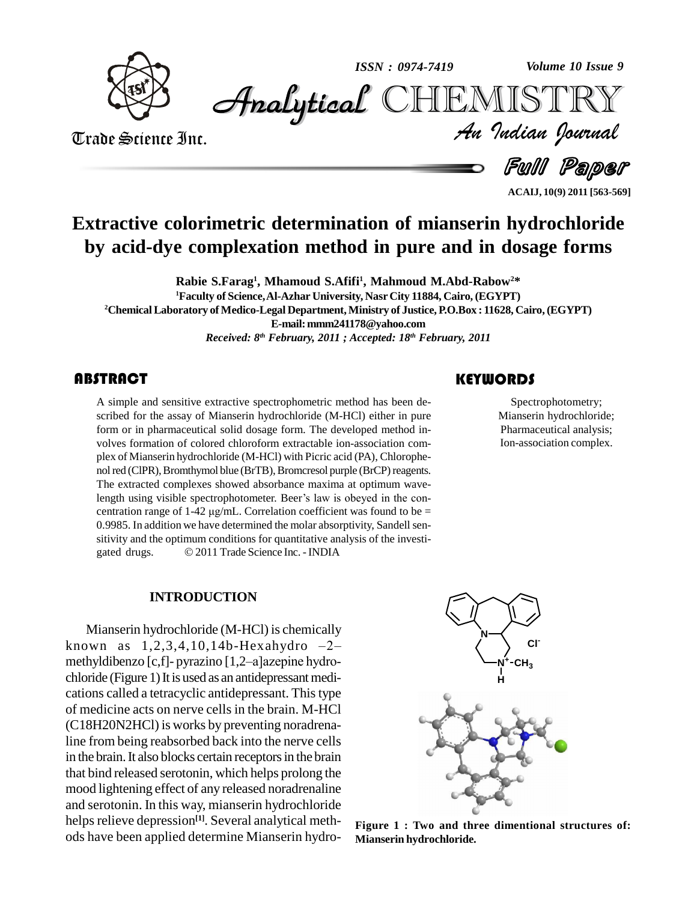

*Volume 10 Issue 9*



Trade Science Inc. Trade Science Inc.

*Volume 10 Issue 9*<br>IISTRY<br>*Indian Iournal* 

Full Paper

**ACAIJ, 10(9) 2011 [563-569]**

## **Extractive colorimetric determination of mianserin hydrochloride by acid-dye complexation method in pure and in dosage forms**

**Rabie S.Farag 1 , Mhamoud S.Afifi<sup>1</sup> , Mahmoud M.Abd-Rabow2\* <sup>1</sup>Faculty of Science,Al-Azhar University, Nasr City 11884, Cairo, (EGYPT) <sup>2</sup>ChemicalLaboratory of Medico-Legal Department,Ministry of Justice, P.O.Box : 11628, Cairo,(EGYPT) E-mail:[mmm241178@yahoo.com](mailto:mmm241178@yahoo.com)** *Received: 8 th February, 2011 ; Accepted: 18 th February, 2011*

## **ABSTRACT**

A simple and sensitive exeribed for the assay of<br>form or in pharmaceutic A simple and sensitive extractive spectrophometric method has been de scribed for the assay of Mianserin hydrochloride (M-HCl) either in pure form or in pharmaceutical solid dosage form. The developed method in volves formation of colored chloroform extractable ion-association com plex of Mianserin hydrochloride (M-HCl) with Picric acid (PA), Chlorophe nol red (ClPR), Bromthymol blue (BrTB), Bromcresol purple (BrCP) reagents. The extracted complexes showed absorbance maxima at optimum wavenol red (CIPR), Bromthymol blue (BrTB), Bromcresol purple (BrCP) reagents.<br>The extracted complexes showed absorbance maxima at optimum wavelength using visible spectrophotometer. Beer's law is obeyed in the con-The extracted complexes showed absorbance maxima at optimum wavelength using visible spectrophotometer. Beer's law is obeyed in the concentration range of  $1-42 \mu g/mL$ . Correlation coefficient was found to be = 0.9985. In addition we have determined the molar absorptivity, Sandell sensitivity and the optimum conditions for quantitative analysis of the investi- 0.9985. In addition we have determined the molar absorptivity, Sandsitivity and the optimum conditions for quantitative analysis of the i<br>gated drugs.  $\textcircled{2011}$  Trade Science Inc. - INDIA

#### **INTRODUCTION**

Mianserin hydrochloride (M-HCl) is chemically Mianserin hydrochloride (M-HCl) is chemically<br>known as  $1,2,3,4,10,14b$ -Hexahydro  $-2-$ Mianserin hydrochloride (M-HCl) is chemically<br>known as  $1,2,3,4,10,14b$ -Hexahydro- $-2$ -<br>methyldibenzo [c,f]- pyrazino [1,2–a]azepine hydro $chloride$  (Figure 1) It is used as an antidepressant medications called a tetracyclic antidepressant. This type of medicine acts on nerve cells in the brain. M-HCl (C18H20N2HCl) is works by preventing noradrenaline from being reabsorbed back into the nerve cells in the brain. It also blocks certain receptors in the brain that bind released serotonin, which helps prolong the mood lightening effect of any released noradrenaline and serotonin. In this way, mianserin hydrochloride helps relieve depression<sup>[1]</sup>. Several analytical methods have been applied determine Mianserin hydro-

## **KEYWORDS**

Spectrophotome<br>Mianserin hydroch<br>Pharmaceutical an Spectrophotometry; Mianserin hydrochloride; Pharmaceutical analysis; Ion-association complex.



**Figure 1 : Two and three dimentional structures of: Mianserin hydrochloride.**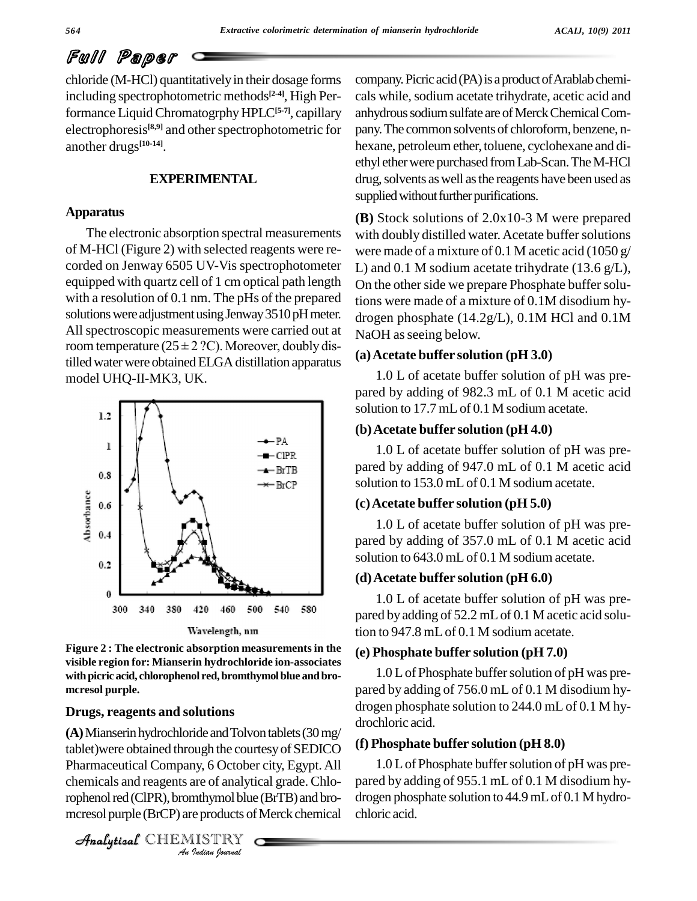# Full Paper

chloride (M-HCl) quantitativelyin their dosage forms including spectrophotometric methods **[2-4]**, High Performance LiquidChromatogrphyHPLC**[5-7]**, capillary electrophoresis<sup>[8,9]</sup> and other spectrophotometric for pan another drugs **[10-14]**.

## **EXPERIMENTAL**

#### **Apparatus**

The electronic absorption spectral measurements of M-HCl (Figure 2) with selected reagents were re corded on Jenway 6505 UV-Vis spectrophotometer equipped with quartz cell of 1 cm optical path length with a resolution of 0.1 nm. The pHs of the prepared solutions were adjustment using Jenway 3510 pH meter. All spectroscopic measurements were carried out at  $N_{\epsilon}$ solutions were adjustment using Jenway 3510 pH meter.<br>All spectroscopic measurements were carried out at Na<br>room temperature (25 ± 2 ?C). Moreover, doubly distilled water were obtained ELGA distillation apparatus model UHQ-II-MK3, UK.



**Figure 2 : The electronic absorption measurements in the visible region for: Mianserin hydrochloride ion-associates withpicric acid, chlorophenol red,bromthymolblue andbro mcresol purple.**

### **Drugs, reagents and solutions**

*Analytical* Company, 6 October city, Egypt. All<br>
chemicals and reagents are of analytical grade. Chlo-<br>
parophenol red (CIPR), bromthymol blue (BrTB) and bro-<br>
dressed purple (BrCP) are products of Merck chemical<br>
chalyti (A) Mianserin hydrochloride and Tolvon tablets (30 mg/ tablet)were obtained through the courtesyof SEDICO chemicals and reagents are of analytical grade. Chlorophenol red (ClPR), bromthymol blue (BrTB) and bromcresol purple (BrCP) are products of Merck chemical

CHEMISTRY

company. Picric acid (PA) is a product of Arablab chemicals while, sodium acetate trihydrate, acetic acid and anhydrous sodium sulfate are of Merck Chemical Company. The common solvents of chloroform, benzene, nhexane, petroleum ether, toluene, cyclohexane and di-<br>ethyl ether were purchased from Lab-Scan. The M-HCl drug, solvents as well as the reagents have been used as supplied without further purifications.

**(B)** Stock solutions of 2.0x10-3 M were prepared with doubly distilled water. Acetate buffer solutions were made of a mixture of 0.1 M acetic acid (1050 g/ L) and 0.1 M sodium acetate trihydrate  $(13.6 \text{ g/L})$ , On the other side we prepare Phosphate buffer solutions were made of a mixture of 0.1M disodium hy drogen phosphate (14.2g/L), 0.1M HCl and 0.1M NaOH as seeing below.

#### **(a)Acetate buffer solution (pH 3.0)**

1.0 L of acetate buffer solution of pH was pre pared by adding of 982.3 mL of 0.1 M acetic acid solution to 17.7 mL of 0.1 M sodium acetate.

#### **(b)Acetate buffer solution (pH 4.0)**

1.0 L of acetate buffer solution of pH was pre pared by adding of 947.0 mL of 0.1 M acetic acid solution to 153.0 mL of 0.1 M sodium acetate.

#### **(c)Acetate buffer solution (pH 5.0)**

1.0 L of acetate buffer solution of pH was pre pared by adding of 357.0 mL of 0.1 M acetic acid solution to 643.0 mL of 0.1 M sodium acetate.

#### **(d)Acetate buffer solution (pH 6.0)**

1.0 L of acetate buffer solution of pH was pre pared by adding of 52.2 mLof 0.1 M acetic acid solution to 947.8 mLof 0.1 M sodium acetate.

#### **(e) Phosphate buffer solution (pH 7.0)**

 $1.0 L$  of Phosphate buffer solution of pH was prepared by adding of 756.0 mL of 0.1 M disodium hy drogen phosphate solution to 244.0 mL of 0.1 M hy drochloric acid.

#### **(f) Phosphate buffer solution (pH 8.0)**

1.0 L of Phosphate buffer solution of pH was prepared by adding of 955.1 mL of 0.1 M disodium hy drogen phosphate solution to 44.9 mL of 0.1 M hydrochloric acid.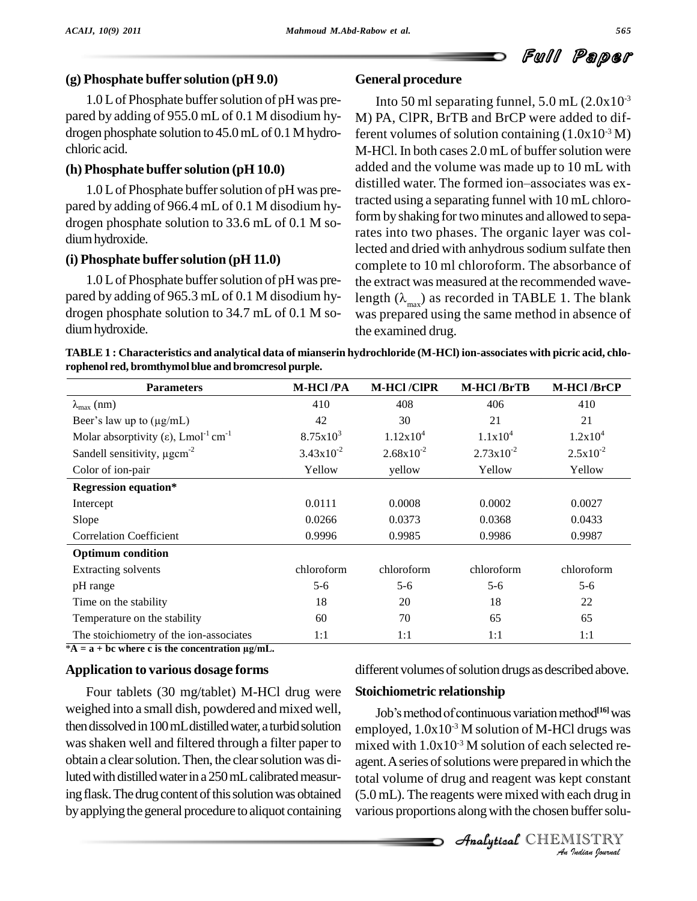## **(g) Phosphate buffer solution (pH 9.0)**

 $1.0 L$  of Phosphate buffer solution of pH was prepared by adding of 955.0 mL of 0.1 M disodium hy drogen phosphate solution to 45.0 mL of 0.1 M hydrochloric acid.

## **(h) Phosphate buffer solution (pH 10.0)**

pared by adding of 966.4 mL of 0.1 M disodium hy drogen phosphate solution to 33.6 mL of 0.1 M so diumhydroxide.

## **(i) Phosphate buffer solution (pH 11.0)**

 $1.0 L$  of Phosphate buffer solution of pH was prepared by adding of 965.3 mL of 0.1 M disodium hy drogen phosphate solution to 34.7 mL of 0.1 M so diumhydroxide.

## **General procedure**

1.0 L of Phosphate buffer solution of pH was pre-<br>distilled water. The formed ion-associates was ex-Into 50 ml separating funnel,  $5.0$  mL  $(2.0x10^{-3})$ M) PA, ClPR, BrTB and BrCP were added to different volumes of solution containing  $(1.0x10^3 M)$ M-HCl. In both cases 2.0 mL of buffer solution were added and the volume was made up to 10 mL with M-HCl. In both cases 2.0 mL of buffer solution were<br>added and the volume was made up to 10 mL with<br>distilled water. The formed ion–associates was extracted using a separating funnel with 10 mLchloroform by shaking for two minutes and allowed to separates into two phases. The organic layer was collected and dried with anhydrous sodium sulfate then complete to 10 ml chloroform. The absorbance of the extract was measured at the recommended wavelength  $(\lambda_{\text{max}})$  as recorded in TABLE 1. The blank was prepared using the same method in absence of the examined drug.

| TABLE 1 : Characteristics and analytical data of mianserin hydrochloride (M-HCl) ion-associates with picric acid, chlo- |  |
|-------------------------------------------------------------------------------------------------------------------------|--|
| rophenol red, bromthymol blue and bromcresol purple.                                                                    |  |

| <b>Parameters</b>                                                         | <b>M-HCl/PA</b> | <b>M-HCl/CIPR</b>     | M-HCl/BrTB            | <b>M-HCl/BrCP</b> |
|---------------------------------------------------------------------------|-----------------|-----------------------|-----------------------|-------------------|
| $\lambda_{\text{max}}$ (nm)                                               | 410             | 408                   | 406                   | 410               |
| Beer's law up to $(\mu g/mL)$                                             | 42              | 30                    | 21                    | 21                |
| Molar absorptivity ( $\varepsilon$ ), Lmol <sup>-1</sup> cm <sup>-1</sup> | $8.75x10^{3}$   | 1.12x10 <sup>4</sup>  | $1.1x10^4$            | $1.2x10^4$        |
| Sandell sensitivity, $\mu$ gcm <sup>-2</sup>                              | $3.43x10^{-2}$  | $2.68 \times 10^{-2}$ | $2.73 \times 10^{-2}$ | $2.5x10^{-2}$     |
| Color of ion-pair                                                         | Yellow          | yellow                | Yellow                | Yellow            |
| <b>Regression equation*</b>                                               |                 |                       |                       |                   |
| Intercept                                                                 | 0.0111          | 0.0008                | 0.0002                | 0.0027            |
| Slope                                                                     | 0.0266          | 0.0373                | 0.0368                | 0.0433            |
| <b>Correlation Coefficient</b>                                            | 0.9996          | 0.9985                | 0.9986                | 0.9987            |
| <b>Optimum</b> condition                                                  |                 |                       |                       |                   |
| Extracting solvents                                                       | chloroform      | chloroform            | chloroform            | chloroform        |
| pH range                                                                  | $5 - 6$         | $5 - 6$               | $5 - 6$               | $5 - 6$           |
| Time on the stability                                                     | 18              | 20                    | 18                    | 22                |
| Temperature on the stability                                              | 60              | 70                    | 65                    | 65                |
| The stoichiometry of the ion-associates                                   | 1:1             | 1:1                   | 1:1                   | 1:1               |

 $*$ **A** = **a** + **bc** where **c** is the concentration  $\mu$ **g**/mL.

## **Application to various dosage forms**

Four tablets (30 mg/tablet) M-HCl drug were weighed into a small dish, powdered and mixed well, then dissolved in 100 mL distilled water, a turbid solution wasshaken well and filtered through a filter paper to obtain a clearsolution.Then, the clearsolution was diluted with distilled water in a 250 mL calibrated measuring flask. The drug content of this solution was obtained by applying the general procedure to aliquot containing different volumes of solution drugs as described above.

## **Stoichiometric relationship**

agent. A series of solutions were prepared in which the *In* which the<br>pt constant<br>ach drug in<br>buffer solu-<br>**IISTRY** reference to the continuous variation method<sup>[16]</sup> was<br>Job's method of continuous variation method<sup>[16]</sup> was employed,  $1.0x10^3$  M solution of M-HCl drugs was mixed with  $1.0x10^{-3}$  M solution of each selected retotal volume of drug and reagent was kept constant (5.0 mL). The reagents were mixed with each drug in various proportions along with the chosen buffer solu-

**Analytical** CHEMISTRY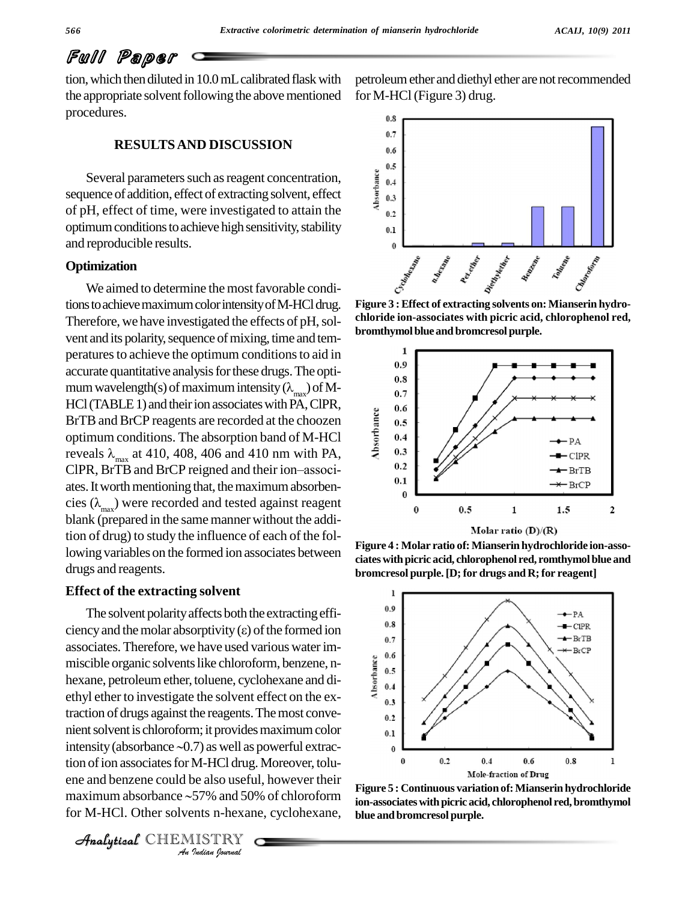## Full Paper

tion, which then diluted in 10.0 mL calibrated flask with the appropriate solvent following the above mentioned procedures.

#### **RESULTSAND DISCUSSION**

Several parameters such as reagent concentration, sequence of addition, effect of extracting solvent, effect Several parameters such as reagent concentration,<br>sequence of addition, effect of extracting solvent, effect<br>of pH, effect of time, were investigated to attain the optimum conditions to achieve high sensitivity, stability  $_{0.1}$ and reproducible results.

#### **Optimization**

We aimed to determine the most favorable conditions to achieve maximum color intensity of M-HCl drug. Therefore, we have investigated the effects of pH, solvent and its polarity, sequence of mixing, time and temperatures to achieve the optimum conditions to aid in accurate quantitative analysis for these drugs. The optimum wavelength(s) of maximum intensity ( $\lambda_{max}$ ) of M-<br>HCl (TABLE 1) and their ion associates with PA, ClPR,<br>BrTB and BrCP reagents are recorded at the choozen<br>optimum conditions. The absorption band of M-HCl<br>reveals  $\lambda$ BrTB and BrCP reagents are recorded at the choozen optimum conditions. The absorption band of M-HCl reveals  $\lambda_{\text{max}}$  at 410, 408, 406 and 410 nm with PA, ClPR, BrTB and BrCP reigned and their ion–associ-ates. It worth mentioning that, the maximum absorbencies  $(\lambda_{max})$  were recorded and tested against reagent blank (prepared in the same manner without the addition of drug) to study the influence of each of the following variables on the formed ion associates between drugs and reagents.

#### **Effect of the extracting solvent**

tion of ion associates for M-HCl drug. Moreover, tolu-<br>ene and benzene could be also useful, however their<br>maximum absorbance  $\sim$  57% and 50% of chloroform ion-associates *Indeed Accord Accord 2013*<br> *Indeed Accord 2014*<br> *ISTRY*<br> *ISTRY* The solvent polarity affects both the extracting effi-Effect of the extracting solvent<br>The solvent polarity affects both the extracting efficiency and the molar absorptivity ( $\varepsilon$ ) of the formed ion<br> $\frac{0.8}{0.7}$ associates. Therefore, we have used various water im-<br>miscible organic solvents like chloroform, benzene, n-<br>hexane, petroleum ether, toluene, cyclohexane and di-<br>athyl ether to investigate the solvent effect on the ex miscible organic solvents like chloroform, benzene, nhexane, petroleumether, toluene, cyclohexane and di-ethyl ether to investigate the solvent effect on the extraction of drugs against the reagents. The most conve-<br>nient solvent is chloroform; it provides maximum color<br>intensity (absorbance ~0.7) as well as powerful extracnient solvent is chloroform; it provides maximum color ene and benzene could be also useful, however their for M-HCl. Other solvents n-hexane, cyclohexane,



petroleum ether and diethyl ether are not recommended for M-HCl(Figure 3) drug.



**Figure 3 :Effect of extracting solvents on: Mianserin hydro chloride ion-associates with picric acid, chlorophenol red, bromthymolblue and bromcresol purple.**



**Figure 4 : Molar ratio of:Mianserin hydrochloride ion-asso ciateswithpicric acid, chlorophenol red, romthymolblue and bromcresol purple.[D; for drugs and R;for reagent]**



**Figure 5 : Continuous variation of:Mianserin hydrochloride ion-associateswithpicric acid, chlorophenol red,bromthymol blue andbromcresol purple.**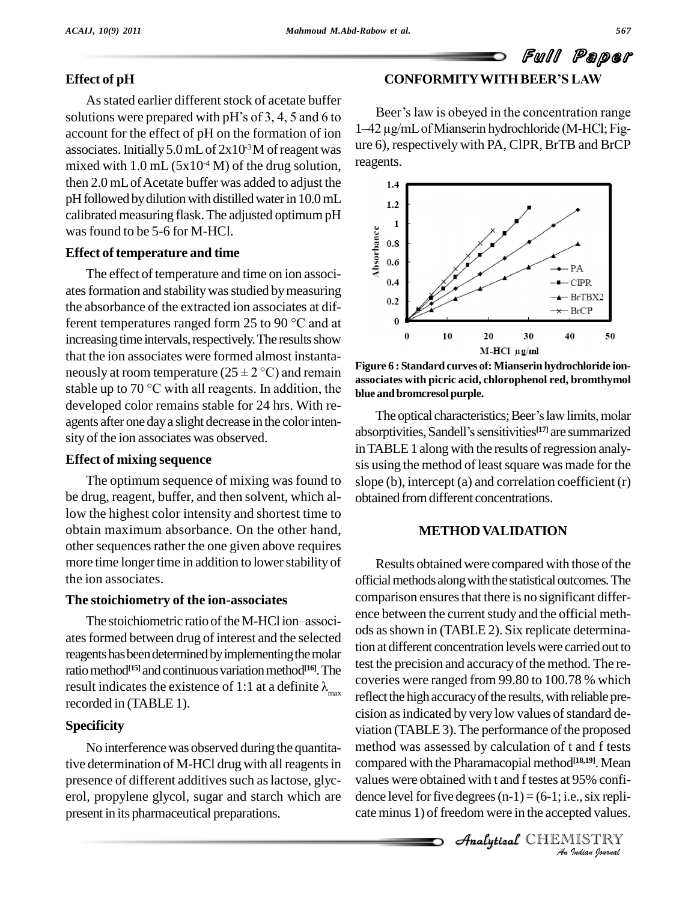Full Paper

## **Effect of pH**

As stated earlier different stock of acetate buffer solutions were prepared with  $pH$ 's of 3, 4, 5 and 6 to account for the effect of pH on the formation of ion associates. Initially  $5.0$  mL of  $2x10<sup>3</sup>$ M of reagent was  $2x10<sup>3</sup>$ mixed with 1.0 mL  $(5x10<sup>-4</sup> M)$  of the drug solution, <sup>re-</sup> then  $2.0$  mL of Acetate buffer was added to adjust the  $1.4$ pH followed by dilution with distilled water in  $10.0$  mL calibrated measuring flask. The adjusted optimum pH was found to be 5-6 for M-HCl. S found to be 5-6 for M-HCl.<br>
ect of temperature and time<br>
The effect of temperature and time on ion associ-

### **Effect of temperature and time**

ates formation and stability was studied by measuring<br>the absorbance of the extracted ion associates at dif-<br>ferent temperatures ranged form 25 to 90 °C and at the absorbance of the extracted ion associates at difincreasing time intervals, respectively. The results show  $\frac{0}{0}$ <br>that the ion associates were formed almost instanta-<br>neously at room temperature (25 ± 2 °C) and remain secondates we that the ion associates were formed almost instanta neously at room temperature  $(25 \pm 2 \degree C)$  and remain<br>stable up to 70 °C with all reagents. In addition, the developed color remains stable for 24 hrs. With re agents after one day a slight decrease in the color intensity of the ion associates was observed.

#### **Effect of mixing sequence**

The optimum sequence of mixing was found to be drug, reagent, buffer, and then solvent, which allow the highest color intensity and shortest time to obtain maximum absorbance. On the other hand, other sequences rather the one given above requires more time longer time in addition to lower stability of the ion associates.

## **The stoichiometry of the ion-associates**

The stoichiometric ratio of the M-HCl ion–associates formed between drug of interest and the selected reagents has been determined by implementing the molar ratio method<sup>[15]</sup> and continuous variation method<sup>[16]</sup>. The result indicates the existence of 1:1 at a definite  $\lambda_{\text{max}}$  recorded in (TABLE 1).

## **Specificity**

No interference was observed during the quantitative determination of M-HCl drug with all reagents in presence of different additives such as lactose, glycerol, propylene glycol, sugar and starch which are present in its pharmaceutical preparations.

## **CONFORMITYWITHBEERíS LAW**

Beer's law is obeyed in the concentration range 1–42 µg/mL of Mianserin hydrochloride (M-HCl; Figure 6), respectively with PA, ClPR, BrTB and BrCP reagents.



**Figure 6 : Standard curves of:Mianserin hydrochloride ion associates with picric acid, chlorophenol red, bromthymol blue andbromcresol purple.**

The optical characteristics; Beer's law limits, molar blue and bromcresol purple.<br>
The optical characteristics; Beer's law limits, molar<br>
absorptivities, Sandell's sensitivities<sup>[17]</sup> are summarized in TABLE 1 along with the results of regression analysis using the method of least square was made for the slope (b), intercept (a) and correlation coefficient (r) obtained fromdifferent concentrations.

## **METHOD VALIDATION**

compared with the Pharamacopial method<sup>[18,19]</sup>. Mean<br>
values were obtained with t and f testes at 95% confi-<br>
dence level for five degrees  $(n-1) = (6-1; i.e., six replic-  
cate minus 1) of freedom were in the accepted values.$ <br> **Analytical** CHEMISTRY Results obtained were compared with those of the official methods along with the statistical outcomes. The comparison ensures that there is no significant difference between the current study and the official methods asshown in (TABLE 2). Six replicate determination at different concentration levels were carried out to test the precision and accuracy of the method. The recoveries were ranged from 99.80 to 100.78 % which reflect the high accuracy of the results, with reliable precision as indicated by very low values of standard deviation (TABLE 3). The performance of the proposed method was assessed by calculation of tand f tests values were obtained with t and f testes at 95% confidence level for five degrees  $(n-1) = (6-1; i.e., six replica)$ cate minus 1) of freedom were in the accepted values.

Analytical CHEMISTRY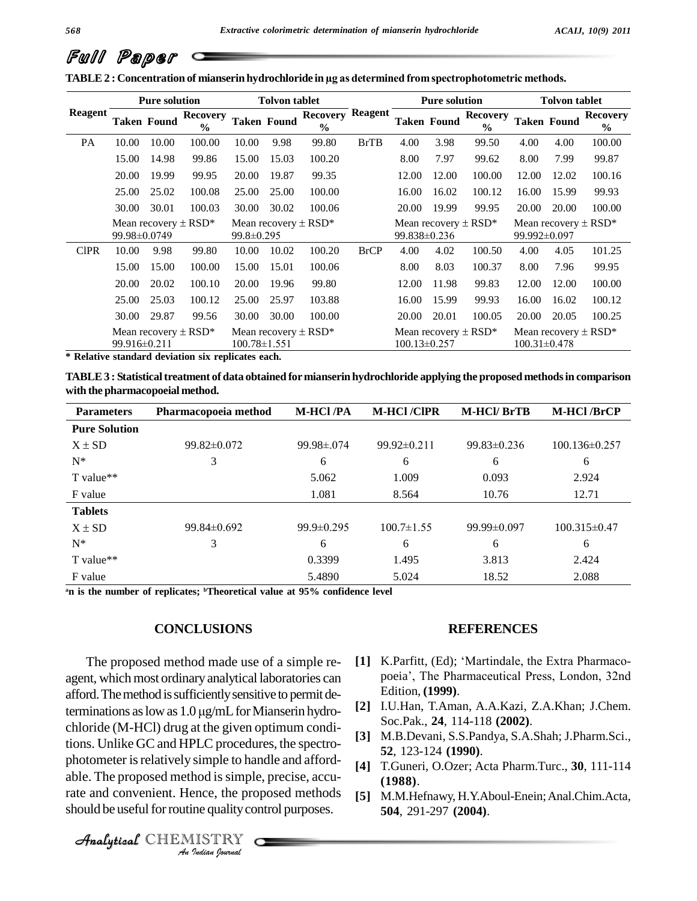|  | Full Paper c |  |
|--|--------------|--|
|--|--------------|--|

**TABLE2 : Concentration of mianserin hydrochloride in µg as determined fromspectrophotometric methods.**

|                | <b>Pure solution</b>                     |                    | <b>Tolvon tablet</b>                                     |       |                                                            | <b>Pure solution</b>                                                                             |                                                | <b>Tolvon tablet</b> |                                                            |                                  |       |                    |                                  |
|----------------|------------------------------------------|--------------------|----------------------------------------------------------|-------|------------------------------------------------------------|--------------------------------------------------------------------------------------------------|------------------------------------------------|----------------------|------------------------------------------------------------|----------------------------------|-------|--------------------|----------------------------------|
| <b>Reagent</b> |                                          | <b>Taken Found</b> | <b>Recovery</b><br>$\frac{6}{6}$                         |       | <b>Taken Found</b>                                         | <b>Recovery Reagent</b><br>$\frac{6}{6}$                                                         |                                                |                      | <b>Taken Found</b>                                         | <b>Recovery</b><br>$\frac{0}{0}$ |       | <b>Taken Found</b> | <b>Recovery</b><br>$\frac{6}{9}$ |
| PA             | 10.00                                    | 10.00              | 100.00                                                   | 10.00 | 9.98                                                       | 99.80                                                                                            | <b>BrTB</b>                                    | 4.00                 | 3.98                                                       | 99.50                            | 4.00  | 4.00               | 100.00                           |
|                | 15.00                                    | 14.98              | 99.86                                                    | 15.00 | 15.03                                                      | 100.20                                                                                           |                                                | 8.00                 | 7.97                                                       | 99.62                            | 8.00  | 7.99               | 99.87                            |
|                | 20.00                                    | 19.99              | 99.95                                                    | 20.00 | 19.87                                                      | 99.35                                                                                            |                                                | 12.00                | 12.00                                                      | 100.00                           | 12.00 | 12.02              | 100.16                           |
|                | 25.00                                    | 25.02              | 100.08                                                   | 25.00 | 25.00                                                      | 100.00                                                                                           |                                                | 16.00                | 16.02                                                      | 100.12                           | 16.00 | 15.99              | 99.93                            |
|                | 30.00                                    | 30.01              | 100.03                                                   | 30.00 | 30.02                                                      | 100.06                                                                                           |                                                | 20.00                | 19.99                                                      | 99.95                            | 20.00 | 20.00              | 100.00                           |
|                | Mean recovery $\pm$ RSD*<br>99.98±0.0749 |                    | Mean recovery $\pm$ RSD <sup>*</sup><br>$99.8 \pm 0.295$ |       |                                                            | Mean recovery $\pm$ RSD*<br>Mean recovery $\pm$ RSD <sup>*</sup><br>99.838±0.236<br>99.992±0.097 |                                                |                      |                                                            |                                  |       |                    |                                  |
| <b>CIPR</b>    | 10.00                                    | 9.98               | 99.80                                                    | 10.00 | 10.02                                                      | 100.20                                                                                           | <b>BrCP</b>                                    | 4.00                 | 4.02                                                       | 100.50                           | 4.00  | 4.05               | 101.25                           |
|                | 15.00                                    | 15.00              | 100.00                                                   | 15.00 | 15.01                                                      | 100.06                                                                                           |                                                | 8.00                 | 8.03                                                       | 100.37                           | 8.00  | 7.96               | 99.95                            |
|                | 20.00                                    | 20.02              | 100.10                                                   | 20.00 | 19.96                                                      | 99.80                                                                                            |                                                | 12.00                | 11.98                                                      | 99.83                            | 12.00 | 12.00              | 100.00                           |
|                | 25.00                                    | 25.03              | 100.12                                                   | 25.00 | 25.97                                                      | 103.88                                                                                           |                                                | 16.00                | 15.99                                                      | 99.93                            | 16.00 | 16.02              | 100.12                           |
|                | 30.00                                    | 29.87              | 99.56                                                    | 30.00 | 30.00                                                      | 100.00                                                                                           |                                                | 20.00                | 20.01                                                      | 100.05                           | 20.00 | 20.05              | 100.25                           |
|                | 99.916±0.211                             |                    | Mean recovery $\pm$ RSD*                                 |       | Mean recovery $\pm$ RSD <sup>*</sup><br>$100.78 \pm 1.551$ |                                                                                                  | Mean recovery $\pm$ RSD*<br>$100.13 \pm 0.257$ |                      | Mean recovery $\pm$ RSD <sup>*</sup><br>$100.31 \pm 0.478$ |                                  |       |                    |                                  |

**\* Relative standard deviation six replicates each.**

**TABLE3 : Statisticaltreatment of data obtained formianserin hydrochloride applying the proposed methodsin comparison with the pharmacopoeial method.**

| <b>Parameters</b>    | Pharmacopoeia method | <b>M-HCl/PA</b>   | <b>M-HCl/CIPR</b> | <b>M-HCl/BrTB</b> | <b>M-HCl/BrCP</b>   |
|----------------------|----------------------|-------------------|-------------------|-------------------|---------------------|
| <b>Pure Solution</b> |                      |                   |                   |                   |                     |
| $X \pm SD$           | $99.82\pm0.072$      | $99.98 \pm 0.074$ | $99.92 \pm 0.211$ | $99.83 \pm 0.236$ | $100.136 \pm 0.257$ |
| $N^*$                | 3                    | 6                 | 6                 | 6                 | 6                   |
| T value**            |                      | 5.062             | 1.009             | 0.093             | 2.924               |
| F value              |                      | 1.081             | 8.564             | 10.76             | 12.71               |
| <b>Tablets</b>       |                      |                   |                   |                   |                     |
| $X \pm SD$           | $99.84 \pm 0.692$    | $99.9 \pm 0.295$  | $100.7 \pm 1.55$  | $99.99 \pm 0.097$ | $100.315 \pm 0.47$  |
| $N^*$                | 3                    | 6                 | 6                 | 6                 | 6                   |
| T value**            |                      | 0.3399            | 1.495             | 3.813             | 2.424               |
| F value              |                      | 5.4890            | 5.024             | 18.52             | 2.088               |

**<sup>a</sup>n is the number of replicates; <sup>b</sup>Theoretical value at 95% confidence level**

#### **CONCLUSIONS**

photometer is relatively simple to handle and afford-*Imple to ha*<br>*Indian Is simple*<br>*IISTRY*<br>*IISTRY* The proposed method made use of a simple re agent, which most ordinary analytical laboratories can<br>afford. The method is sufficiently sensitive to permit de-<br>terminations as low as  $1.0 \mu g/mL$  for Mianserin hydroafford. The method is sufficiently sensitive to permit dechloride (M-HCl) drug at the given optimum conditions. Unlike GC and HPLC procedures, the spectro able. The proposed method is simple, precise, accurate and convenient. Hence, the proposed methods should be useful for routine quality control purposes.

#### **REFERENCES**

- **[1]** K.Parfitt, (Ed); ëMartindale, the Extra Pharmaco poeiaí, The Pharmaceutical Press, London, 32nd Edition, **(1999)**.
- **[2]** I.U.Han, T.Aman, A.A.Kazi, Z.A.Khan; J.Chem. Soc.Pak., **24**, 114-118 **(2002)**.
- **[3]** M.B.Devani, S.S.Pandya, S.A.Shah; J.Pharm.Sci., **52**, 123-124 **(1990)**.
- **[4]** T.Guneri, O.Ozer; Acta Pharm.Turc., **30**, 111-114 **(1988)**.
- **[5]** M.M.Hefnawy, H.Y.Aboul-Enein;Anal.Chim.Acta, **504**, 291-297 **(2004)**.

CHEMISTRY